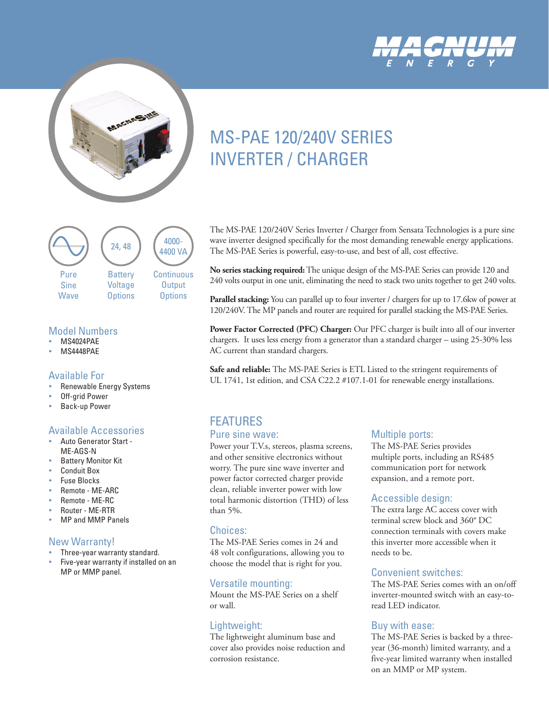



# [MS-PAE 120/240V SERIES](https://www.altestore.com/store/inverters/off-grid-inverters/3000-to-7000-watts/magnum-energy-mspae-4448-4400-watt-48v-invertercharger-p8110/)  INVERTER / CHARGER



#### Model Numbers

- **MS4024PAE**
- **MS4448PAF**

#### Available For

- Renewable Energy Systems
- Off-arid Power
- Back-up Power

#### Available Accessories

- Auto Generator Start -ME-AGS-N
- **Battery Monitor Kit**
- y Conduit Box
- y Fuse Blocks
- y Remote ME-ARC
- y Remote ME-RC
- y Router ME-RTR
- MP and MMP Panels

#### New Warranty!

- Three-year warranty standard.
- Five-year warranty if installed on an MP or MMP panel.

The MS-PAE 120/240V Series Inverter / Charger from Sensata Technologies is a pure sine wave inverter designed specifically for the most demanding renewable energy applications. The MS-PAE Series is powerful, easy-to-use, and best of all, cost effective.

**No series stacking required:** The unique design of the MS-PAE Series can provide 120 and 240 volts output in one unit, eliminating the need to stack two units together to get 240 volts.

**Parallel stacking:** You can parallel up to four inverter / chargers for up to 17.6kw of power at 120/240V. The MP panels and router are required for parallel stacking the MS-PAE Series.

**Power Factor Corrected (PFC) Charger:** Our PFC charger is built into all of our inverter chargers. It uses less energy from a generator than a standard charger – using 25-30% less AC current than standard chargers.

**Safe and reliable:** The MS-PAE Series is ETL Listed to the stringent requirements of UL 1741, 1st edition, and CSA C22.2 #107.1-01 for renewable energy installations.

# FEATURES

#### Pure sine wave:

Power your T.V.s, stereos, plasma screens, and other sensitive electronics without worry. The pure sine wave inverter and power factor corrected charger provide clean, reliable inverter power with low total harmonic distortion (THD) of less than 5%.

#### Choices:

The MS-PAE Series comes in 24 and 48 volt configurations, allowing you to choose the model that is right for you.

### Versatile mounting:

Mount the MS-PAE Series on a shelf or wall.

## Lightweight:

The lightweight aluminum base and cover also provides noise reduction and corrosion resistance.

### Multiple ports:

The MS-PAE Series provides multiple ports, including an RS485 communication port for network expansion, and a remote port.

### Accessible design:

The extra large AC access cover with terminal screw block and 360° DC connection terminals with covers make this inverter more accessible when it needs to be.

### Convenient switches:

The MS-PAE Series comes with an on/off inverter-mounted switch with an easy-toread LED indicator.

### Buy with ease:

The MS-PAE Series is backed by a threeyear (36-month) limited warranty, and a five-year limited warranty when installed on an MMP or MP system.